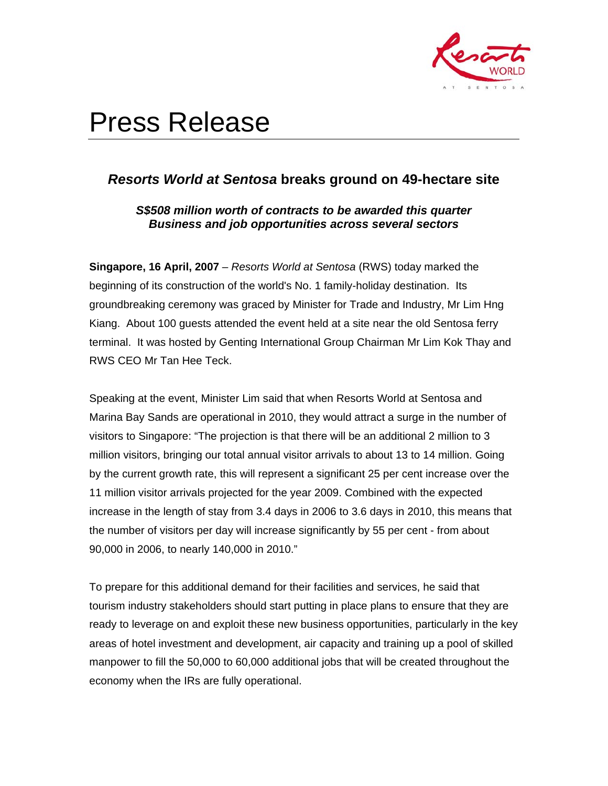

# Press Release

# *Resorts World at Sentosa* **breaks ground on 49-hectare site**

# *S\$508 million worth of contracts to be awarded this quarter Business and job opportunities across several sectors*

**Singapore, 16 April, 2007** – *Resorts World at Sentosa* (RWS) today marked the beginning of its construction of the world's No. 1 family-holiday destination. Its groundbreaking ceremony was graced by Minister for Trade and Industry, Mr Lim Hng Kiang. About 100 guests attended the event held at a site near the old Sentosa ferry terminal. It was hosted by Genting International Group Chairman Mr Lim Kok Thay and RWS CEO Mr Tan Hee Teck.

Speaking at the event, Minister Lim said that when Resorts World at Sentosa and Marina Bay Sands are operational in 2010, they would attract a surge in the number of visitors to Singapore: "The projection is that there will be an additional 2 million to 3 million visitors, bringing our total annual visitor arrivals to about 13 to 14 million. Going by the current growth rate, this will represent a significant 25 per cent increase over the 11 million visitor arrivals projected for the year 2009. Combined with the expected increase in the length of stay from 3.4 days in 2006 to 3.6 days in 2010, this means that the number of visitors per day will increase significantly by 55 per cent - from about 90,000 in 2006, to nearly 140,000 in 2010."

To prepare for this additional demand for their facilities and services, he said that tourism industry stakeholders should start putting in place plans to ensure that they are ready to leverage on and exploit these new business opportunities, particularly in the key areas of hotel investment and development, air capacity and training up a pool of skilled manpower to fill the 50,000 to 60,000 additional jobs that will be created throughout the economy when the IRs are fully operational.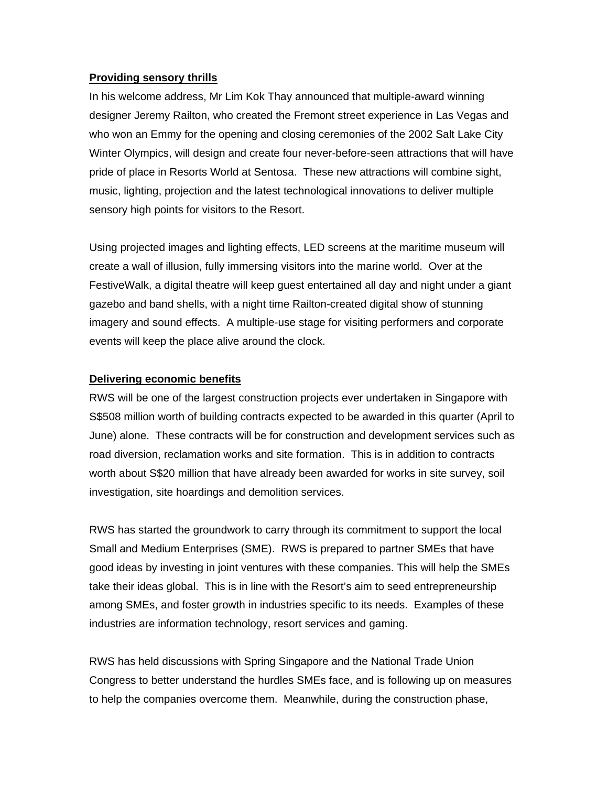#### **Providing sensory thrills**

In his welcome address, Mr Lim Kok Thay announced that multiple-award winning designer Jeremy Railton, who created the Fremont street experience in Las Vegas and who won an Emmy for the opening and closing ceremonies of the 2002 Salt Lake City Winter Olympics, will design and create four never-before-seen attractions that will have pride of place in Resorts World at Sentosa. These new attractions will combine sight, music, lighting, projection and the latest technological innovations to deliver multiple sensory high points for visitors to the Resort.

Using projected images and lighting effects, LED screens at the maritime museum will create a wall of illusion, fully immersing visitors into the marine world. Over at the FestiveWalk, a digital theatre will keep guest entertained all day and night under a giant gazebo and band shells, with a night time Railton-created digital show of stunning imagery and sound effects. A multiple-use stage for visiting performers and corporate events will keep the place alive around the clock.

## **Delivering economic benefits**

RWS will be one of the largest construction projects ever undertaken in Singapore with S\$508 million worth of building contracts expected to be awarded in this quarter (April to June) alone. These contracts will be for construction and development services such as road diversion, reclamation works and site formation. This is in addition to contracts worth about S\$20 million that have already been awarded for works in site survey, soil investigation, site hoardings and demolition services.

RWS has started the groundwork to carry through its commitment to support the local Small and Medium Enterprises (SME). RWS is prepared to partner SMEs that have good ideas by investing in joint ventures with these companies. This will help the SMEs take their ideas global. This is in line with the Resort's aim to seed entrepreneurship among SMEs, and foster growth in industries specific to its needs. Examples of these industries are information technology, resort services and gaming.

RWS has held discussions with Spring Singapore and the National Trade Union Congress to better understand the hurdles SMEs face, and is following up on measures to help the companies overcome them. Meanwhile, during the construction phase,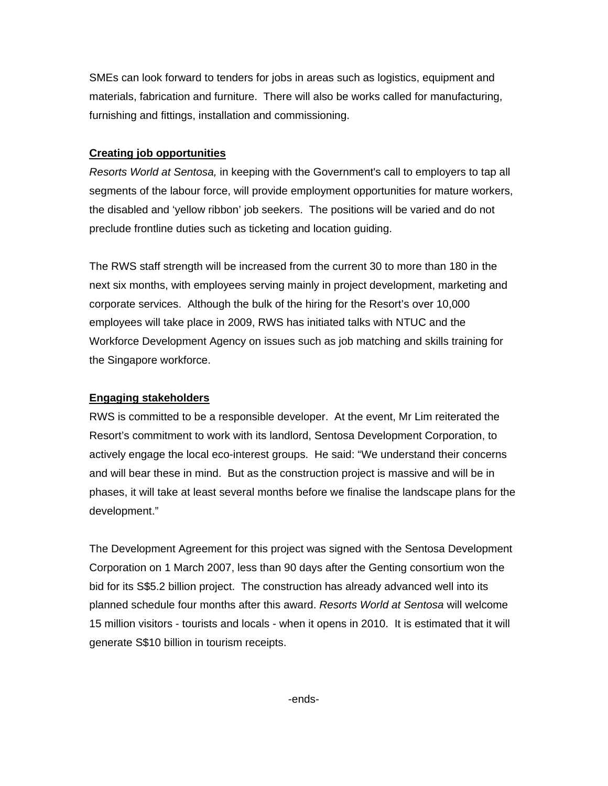SMEs can look forward to tenders for jobs in areas such as logistics, equipment and materials, fabrication and furniture. There will also be works called for manufacturing, furnishing and fittings, installation and commissioning.

### **Creating job opportunities**

*Resorts World at Sentosa,* in keeping with the Government's call to employers to tap all segments of the labour force, will provide employment opportunities for mature workers, the disabled and 'yellow ribbon' job seekers. The positions will be varied and do not preclude frontline duties such as ticketing and location guiding.

The RWS staff strength will be increased from the current 30 to more than 180 in the next six months, with employees serving mainly in project development, marketing and corporate services. Although the bulk of the hiring for the Resort's over 10,000 employees will take place in 2009, RWS has initiated talks with NTUC and the Workforce Development Agency on issues such as job matching and skills training for the Singapore workforce.

### **Engaging stakeholders**

RWS is committed to be a responsible developer. At the event, Mr Lim reiterated the Resort's commitment to work with its landlord, Sentosa Development Corporation, to actively engage the local eco-interest groups. He said: "We understand their concerns and will bear these in mind. But as the construction project is massive and will be in phases, it will take at least several months before we finalise the landscape plans for the development."

The Development Agreement for this project was signed with the Sentosa Development Corporation on 1 March 2007, less than 90 days after the Genting consortium won the bid for its S\$5.2 billion project. The construction has already advanced well into its planned schedule four months after this award. *Resorts World at Sentosa* will welcome 15 million visitors - tourists and locals - when it opens in 2010. It is estimated that it will generate S\$10 billion in tourism receipts.

-ends-